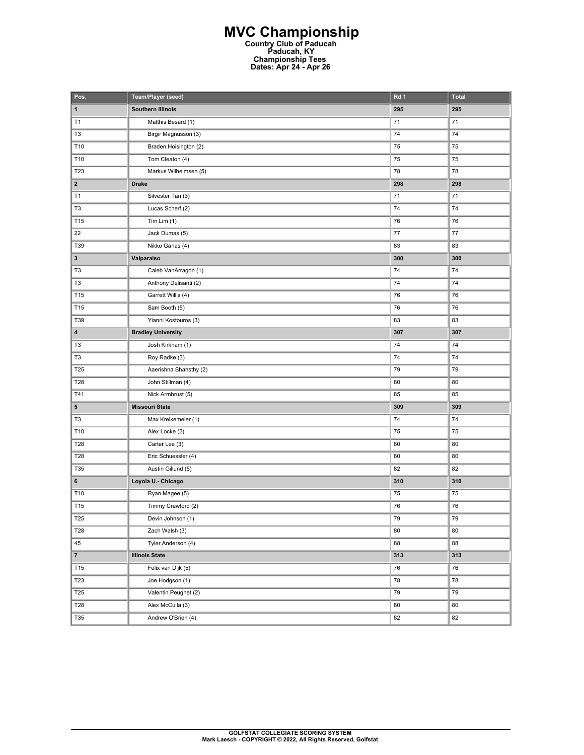## **MVC Championship Country Club of Paducah Paducah, KY Championship Tees Dates: Apr 24 - Apr 26**

| Pos.            | Team/Player (seed)        | Rd 1 | <b>Total</b> |
|-----------------|---------------------------|------|--------------|
| $\mathbf 1$     | <b>Southern Illinois</b>  | 295  | 295          |
| T1              | Matthis Besard (1)        | 71   | 71           |
| T <sub>3</sub>  | Birgir Magnusson (3)      | 74   | 74           |
| T10             | Braden Hoisington (2)     | 75   | 75           |
| T10             | Tom Cleaton (4)           | 75   | 75           |
| T23             | Markus Wilhelmsen (5)     | 78   | 78           |
| $\mathbf{2}$    | <b>Drake</b>              | 298  | 298          |
| T1              | Silvester Tan (3)         | 71   | 71           |
| T <sub>3</sub>  | Lucas Scherf (2)          | 74   | 74           |
| T15             | Tim Lim $(1)$             | 76   | 76           |
| 22              | Jack Dumas (5)            | 77   | 77           |
| T39             | Nikko Ganas (4)           | 83   | 83           |
| $\mathbf{3}$    | Valparaiso                | 300  | 300          |
| T <sub>3</sub>  | Caleb VanArragon (1)      | 74   | 74           |
| T <sub>3</sub>  | Anthony Delisanti (2)     | 74   | 74           |
| T15             | Garrett Willis (4)        | 76   | 76           |
| T15             | Sam Booth (5)             | 76   | 76           |
| T39             | Yianni Kostouros (3)      | 83   | 83           |
| 4               | <b>Bradley University</b> | 307  | 307          |
| T <sub>3</sub>  | Josh Kirkham (1)          | 74   | 74           |
| T <sub>3</sub>  | Roy Radke (3)             | 74   | 74           |
| T25             | Aaerishna Shahsthy (2)    | 79   | 79           |
| <b>T28</b>      | John Stillman (4)         | 80   | 80           |
| T41             | Nick Armbrust (5)         | 85   | 85           |
| 5               | <b>Missouri State</b>     | 309  | 309          |
| T <sub>3</sub>  | Max Kreikemeier (1)       | 74   | 74           |
| T10             | Alex Locke (2)            | 75   | 75           |
| T28             | Carter Lee (3)            | 80   | 80           |
| T28             | Eric Schuessler (4)       | 80   | 80           |
| T35             | Austin Gillund (5)        | 82   | 82           |
| 6               | Loyola U. - Chicago       | 310  | 310          |
| T10             | Ryan Magee (5)            | 75   | 75           |
| T15             | Timmy Crawford (2)        | 76   | 76           |
| <b>T25</b>      | Devin Johnson (1)         | 79   | 79           |
| T28             | Zach Walsh (3)            | 80   | 80           |
| 45              | Tyler Anderson (4)        | 88   | 88           |
| $\overline{7}$  | <b>Illinois State</b>     | 313  | 313          |
| T15             | Felix van Dijk (5)        | 76   | 76           |
| T23             | Joe Hodgson (1)           | 78   | 78           |
| T <sub>25</sub> | Valentin Peugnet (2)      | 79   | 79           |
| T28             | Alex McCulla (3)          | 80   | 80           |
| T35             | Andrew O'Brien (4)        | 82   | 82           |